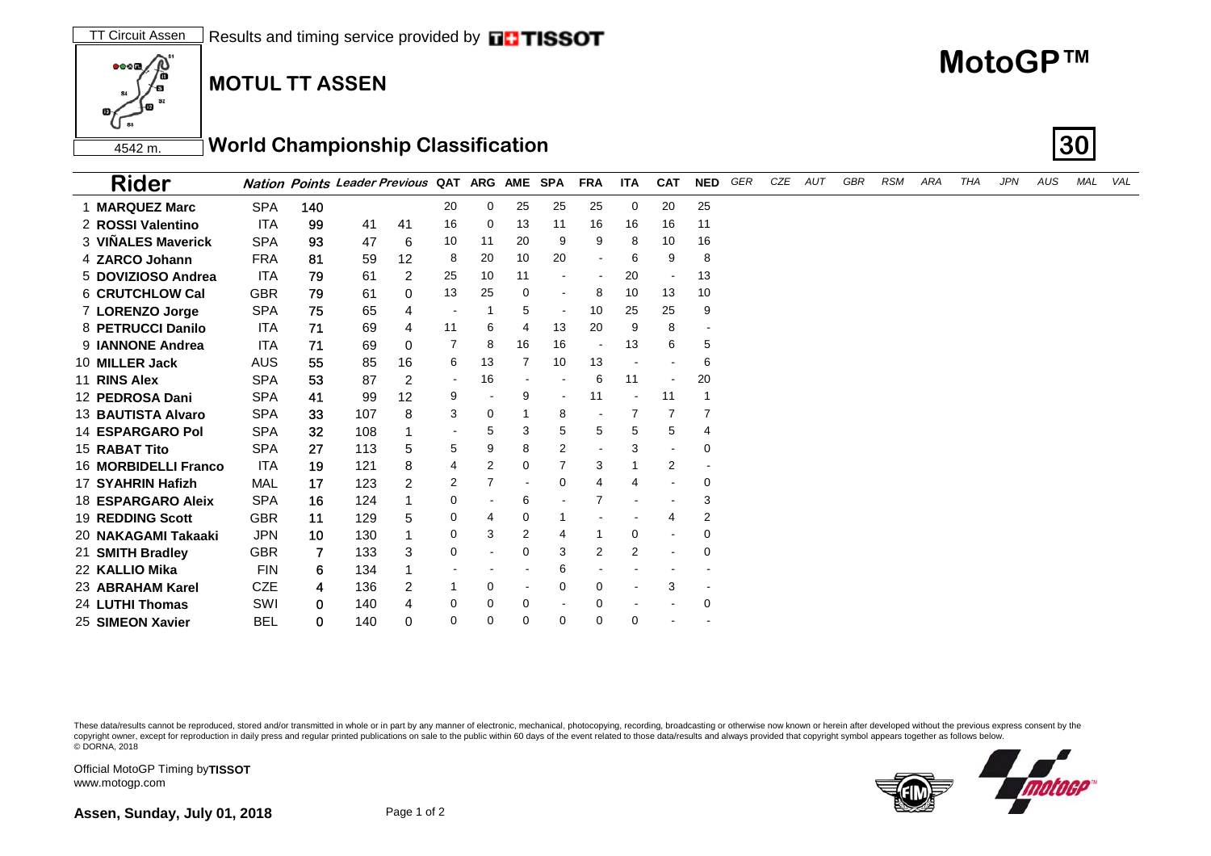## **MOTUL TT ASSEN**

r)<br>C

 $0000$ 

Official MotoGP Timing by **TISSOT**

www.motogp.com

**Assen, Sunday, July 01, 2018** Page 1 of 2

These data/results cannot be reproduced, stored and/or transmitted in whole or in part by any manner of electronic, mechanical, photocopying, recording, broadcasting or otherwise now known or herein after developed without copyright owner, except for reproduction in daily press and regular printed publications on sale to the public within 60 days of the event related to those data/results and always provided that copyright symbol appears tog

| 4542 m | ↑World Championship Classification | 130 |
|--------|------------------------------------|-----|

| <b>Rider</b>            |            |     | Nation Points Leader Previous QAT ARG AME SPA |          |                |                |          |          | <b>FRA</b>     | <b>ITA</b> | <b>CAT</b>               | <b>NED</b>               | GER | CZE | AUT | GBR | <b>RSM</b> | ARA | <b>THA</b> | <b>JPN</b> | AUS | <b>MAL</b> | VAL |
|-------------------------|------------|-----|-----------------------------------------------|----------|----------------|----------------|----------|----------|----------------|------------|--------------------------|--------------------------|-----|-----|-----|-----|------------|-----|------------|------------|-----|------------|-----|
| <b>MARQUEZ Marc</b>     | <b>SPA</b> | 140 |                                               |          | 20             | 0              | 25       | 25       | 25             | 0          | 20                       | 25                       |     |     |     |     |            |     |            |            |     |            |     |
| 2 ROSSI Valentino       | <b>ITA</b> | 99  | 41                                            | 41       | 16             | 0              | 13       | 11       | 16             | 16         | 16                       | 11                       |     |     |     |     |            |     |            |            |     |            |     |
| 3 VIÑALES Maverick      | <b>SPA</b> | 93  | 47                                            | 6        | 10             | 11             | 20       | 9        | 9              | 8          | 10                       | 16                       |     |     |     |     |            |     |            |            |     |            |     |
| 4 ZARCO Johann          | <b>FRA</b> | 81  | 59                                            | 12       | 8              | 20             | 10       | 20       |                | 6          | 9                        | 8                        |     |     |     |     |            |     |            |            |     |            |     |
| 5 DOVIZIOSO Andrea      | <b>ITA</b> | 79  | 61                                            | 2        | 25             | 10             | 11       |          |                | 20         | $\overline{\phantom{a}}$ | 13                       |     |     |     |     |            |     |            |            |     |            |     |
| 6 CRUTCHLOW Cal         | <b>GBR</b> | 79  | 61                                            | 0        | 13             | 25             | 0        |          | 8              | 10         | 13                       | 10                       |     |     |     |     |            |     |            |            |     |            |     |
| 7 LORENZO Jorge         | <b>SPA</b> | 75  | 65                                            | 4        |                |                | 5        |          | 10             | 25         | 25                       | 9                        |     |     |     |     |            |     |            |            |     |            |     |
| 8 PETRUCCI Danilo       | <b>ITA</b> | 71  | 69                                            | 4        | 11             | 6              | 4        | 13       | 20             | 9          | 8                        |                          |     |     |     |     |            |     |            |            |     |            |     |
| 9 <b>JANNONE</b> Andrea | <b>ITA</b> | 71  | 69                                            | $\Omega$ | $\overline{7}$ | 8              | 16       | 16       |                | 13         | 6                        | 5                        |     |     |     |     |            |     |            |            |     |            |     |
| 10 MILLER Jack          | <b>AUS</b> | 55  | 85                                            | 16       | 6              | 13             | 7        | 10       | 13             |            |                          | 6                        |     |     |     |     |            |     |            |            |     |            |     |
| 11 RINS Alex            | <b>SPA</b> | 53  | 87                                            | 2        |                | 16             |          |          | 6              | 11         |                          | 20                       |     |     |     |     |            |     |            |            |     |            |     |
| 12 PEDROSA Dani         | <b>SPA</b> | 41  | 99                                            | 12       | 9              |                | 9        |          | 11             |            | 11                       |                          |     |     |     |     |            |     |            |            |     |            |     |
| 13 BAUTISTA Alvaro      | <b>SPA</b> | 33  | 107                                           | 8        | 3              | 0              |          | 8        |                |            |                          |                          |     |     |     |     |            |     |            |            |     |            |     |
| <b>14 ESPARGARO Pol</b> | <b>SPA</b> | 32  | 108                                           |          |                | 5              | 3        | 5        | 5              | 5          | 5                        | 4                        |     |     |     |     |            |     |            |            |     |            |     |
| 15 RABAT Tito           | <b>SPA</b> | 27  | 113                                           | 5        | 5              | 9              | 8        | 2        |                | 3          | $\blacksquare$           | 0                        |     |     |     |     |            |     |            |            |     |            |     |
| 16 MORBIDELLI Franco    | <b>ITA</b> | 19  | 121                                           | 8        | 4              | 2              | 0        |          | 3              |            | $\overline{2}$           |                          |     |     |     |     |            |     |            |            |     |            |     |
| 17 SYAHRIN Hafizh       | MAL        | 17  | 123                                           | 2        | 2              | $\overline{7}$ |          | $\Omega$ | $\overline{4}$ | 4          |                          | 0                        |     |     |     |     |            |     |            |            |     |            |     |
| 18 ESPARGARO Aleix      | <b>SPA</b> | 16  | 124                                           |          | 0              |                | 6        |          | 7              |            |                          | 3                        |     |     |     |     |            |     |            |            |     |            |     |
| <b>19 REDDING Scott</b> | <b>GBR</b> | 11  | 129                                           | 5        | 0              | 4              | 0        |          |                |            | 4                        | 2                        |     |     |     |     |            |     |            |            |     |            |     |
| 20 NAKAGAMI Takaaki     | <b>JPN</b> | 10  | 130                                           |          | 0              | 3              | 2        |          |                | 0          |                          | 0                        |     |     |     |     |            |     |            |            |     |            |     |
| 21 SMITH Bradley        | <b>GBR</b> | 7   | 133                                           | 3        | 0              |                | 0        | 3        | $\overline{2}$ | 2          |                          | 0                        |     |     |     |     |            |     |            |            |     |            |     |
| 22 KALLIO Mika          | <b>FIN</b> | 6   | 134                                           |          |                |                |          | 6        |                |            |                          |                          |     |     |     |     |            |     |            |            |     |            |     |
| 23 ABRAHAM Karel        | <b>CZE</b> | 4   | 136                                           | 2        |                | 0              |          | $\Omega$ | 0              |            | 3                        | $\overline{\phantom{a}}$ |     |     |     |     |            |     |            |            |     |            |     |
| 24 LUTHI Thomas         | SWI        | 0   | 140                                           | 4        | 0              | 0              | 0        |          | $\mathbf 0$    |            |                          | 0                        |     |     |     |     |            |     |            |            |     |            |     |
| 25 SIMEON Xavier        | <b>BEL</b> | 0   | 140                                           | 0        | $\Omega$       | 0              | $\Omega$ | $\Omega$ | $\Omega$       | 0          |                          |                          |     |     |     |     |            |     |            |            |     |            |     |